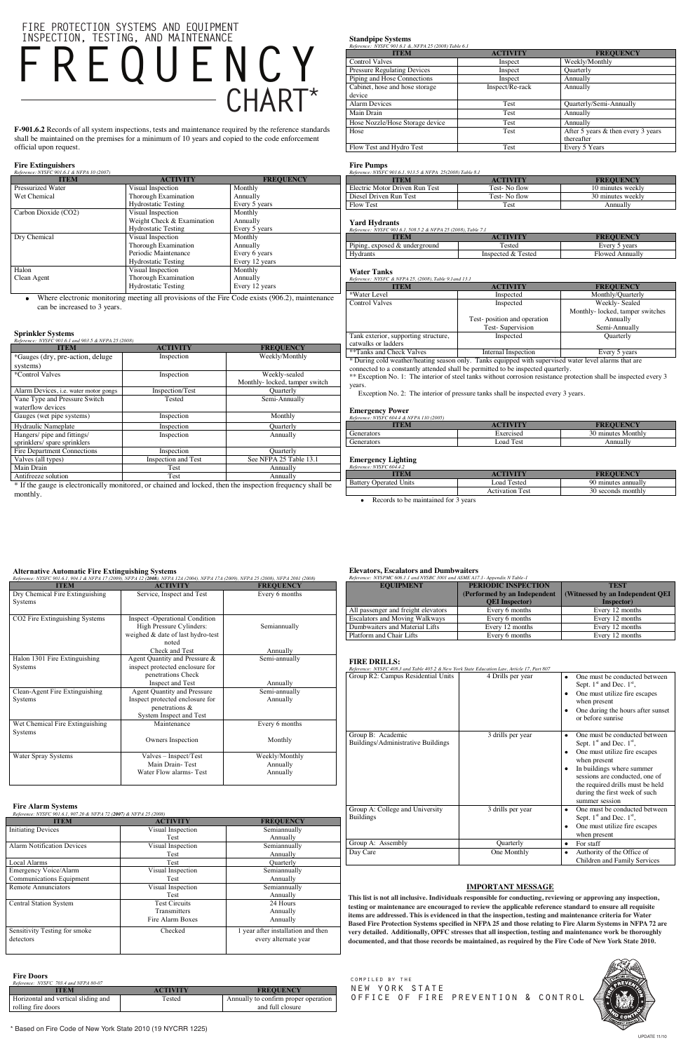**F-901.6.2** Records of all system inspections, tests and maintenance required by the reference standards shall be maintained on the premises for a minimum of 10 years and copied to the code enforcement official upon request.

# **Fire Extinguishers**

| Reference: NYSFC 901.6.1 & NFPA 10 (2007) |                            |                  |
|-------------------------------------------|----------------------------|------------------|
| <b>ITEM</b>                               | <b>ACTIVITY</b>            | <b>FREQUENCY</b> |
| Pressurized Water                         | Visual Inspection          | Monthly          |
| Wet Chemical                              | Thorough Examination       | Annually         |
|                                           | <b>Hydrostatic Testing</b> | Every 5 years    |
| Carbon Dioxide (CO2)                      | Visual Inspection          | Monthly          |
|                                           | Weight Check & Examination | Annually         |
|                                           | <b>Hydrostatic Testing</b> | Every 5 years    |
| Dry Chemical                              | Visual Inspection          | Monthly          |
|                                           | Thorough Examination       | Annually         |
|                                           | Periodic Maintenance       | Every 6 years    |
|                                           | <b>Hydrostatic Testing</b> | Every 12 years   |
| Halon                                     | Visual Inspection          | Monthly          |
| Clean Agent                               | Thorough Examination       | Annually         |
|                                           | <b>Hydrostatic Testing</b> | Every 12 years   |

Where electronic monitoring meeting all provisions of the Fire Code exists (906.2), maintenance  $\bullet$ can be increased to 3 years.

# **Sprinkler Systems**

| Reference: NYSFC 901.6.1 and 903.5 & NFPA 25 (2008)                                                                                                                                                                                                                                                                                                                        |                                                                                                                                                                                                                                                                  |                                        |
|----------------------------------------------------------------------------------------------------------------------------------------------------------------------------------------------------------------------------------------------------------------------------------------------------------------------------------------------------------------------------|------------------------------------------------------------------------------------------------------------------------------------------------------------------------------------------------------------------------------------------------------------------|----------------------------------------|
| <b>ITEM</b>                                                                                                                                                                                                                                                                                                                                                                | <b>ACTIVITY</b>                                                                                                                                                                                                                                                  | <b>FREQUENCY</b>                       |
| *Gauges (dry, pre-action, deluge                                                                                                                                                                                                                                                                                                                                           | Inspection                                                                                                                                                                                                                                                       | Weekly/Monthly                         |
| systems)                                                                                                                                                                                                                                                                                                                                                                   |                                                                                                                                                                                                                                                                  |                                        |
| *Control Valves                                                                                                                                                                                                                                                                                                                                                            | Inspection                                                                                                                                                                                                                                                       | Weekly-sealed                          |
|                                                                                                                                                                                                                                                                                                                                                                            |                                                                                                                                                                                                                                                                  | Monthly-locked, tamper switch          |
| Alarm Devices, <i>i.e.</i> water motor gongs                                                                                                                                                                                                                                                                                                                               | Inspection/Test                                                                                                                                                                                                                                                  | Quarterly                              |
| Vane Type and Pressure Switch                                                                                                                                                                                                                                                                                                                                              | Tested                                                                                                                                                                                                                                                           | Semi-Annually                          |
| waterflow devices                                                                                                                                                                                                                                                                                                                                                          |                                                                                                                                                                                                                                                                  |                                        |
| Gauges (wet pipe systems)                                                                                                                                                                                                                                                                                                                                                  | Inspection                                                                                                                                                                                                                                                       | Monthly                                |
| Hydraulic Nameplate                                                                                                                                                                                                                                                                                                                                                        | Inspection                                                                                                                                                                                                                                                       | Quarterly                              |
| Hangers/ pipe and fittings/                                                                                                                                                                                                                                                                                                                                                | Inspection                                                                                                                                                                                                                                                       | Annually                               |
| sprinklers/ spare sprinklers                                                                                                                                                                                                                                                                                                                                               |                                                                                                                                                                                                                                                                  |                                        |
| Fire Department Connections                                                                                                                                                                                                                                                                                                                                                | Inspection                                                                                                                                                                                                                                                       | Quarterly                              |
| Valves (all types)                                                                                                                                                                                                                                                                                                                                                         | Inspection and Test                                                                                                                                                                                                                                              | See NFPA 25 Table 13.1                 |
| Main Drain                                                                                                                                                                                                                                                                                                                                                                 | Test                                                                                                                                                                                                                                                             | Annually                               |
| Antifreeze solution                                                                                                                                                                                                                                                                                                                                                        | Test                                                                                                                                                                                                                                                             | Annually                               |
| $\cdot$ $\cdot$ $\cdot$ $\cdot$<br>.<br>$\mathbf{a}$ $\mathbf{r}$ $\mathbf{r}$ $\mathbf{r}$ $\mathbf{r}$ $\mathbf{r}$ $\mathbf{r}$ $\mathbf{r}$ $\mathbf{r}$ $\mathbf{r}$ $\mathbf{r}$ $\mathbf{r}$ $\mathbf{r}$ $\mathbf{r}$ $\mathbf{r}$ $\mathbf{r}$ $\mathbf{r}$ $\mathbf{r}$ $\mathbf{r}$ $\mathbf{r}$ $\mathbf{r}$ $\mathbf{r}$ $\mathbf{r}$ $\mathbf{r}$ $\mathbf{$ | $\mathbf{a}$ , and a set of the set of the set of the set of the set of the set of the set of the set of the set of the set of the set of the set of the set of the set of the set of the set of the set of the set of the set of<br>$\bullet$ .<br>$\mathbf{r}$ | $\mathbf{1}$ $\mathbf{1}$ $\mathbf{1}$ |

\* If the gauge is electronically monitored, or chained and locked, then the inspection frequency shall be monthly.

**Standpipe Systems**

| Reference: NYSFC 901.6.1 & NFPA 25 (2008) Table 6.1 |                 |                                    |  |
|-----------------------------------------------------|-----------------|------------------------------------|--|
| <b>ITEM</b>                                         | <b>ACTIVITY</b> | <b>FREQUENCY</b>                   |  |
| <b>Control Valves</b>                               | Inspect         | Weekly/Monthly                     |  |
| <b>Pressure Regulating Devices</b>                  | Inspect         | Quarterly                          |  |
| Piping and Hose Connections                         | Inspect         | Annually                           |  |
| Cabinet, hose and hose storage                      | Inspect/Re-rack | Annually                           |  |
| device                                              |                 |                                    |  |
| <b>Alarm Devices</b>                                | Test            | Quarterly/Semi-Annually            |  |
| Main Drain                                          | <b>Test</b>     | Annually                           |  |
| Hose Nozzle/Hose Storage device                     | Test            | Annually                           |  |
| Hose                                                | Test            | After 5 years & then every 3 years |  |
|                                                     |                 | thereafter                         |  |
| Flow Test and Hydro Test                            | Test            | Every 5 Years                      |  |

# **Fire Pumps**  *Reference: NYSFC 901.6.1, 913.5 & NFPA 25(2008) Table 8.1*

| Reference. IVISI C 501.0.1, 513.3 & IVI I A 23(2006) Table 6.1 |                 |                   |
|----------------------------------------------------------------|-----------------|-------------------|
| TEM.                                                           | <b>ACTIVITY</b> | <b>FREOUENCY</b>  |
| Electric Motor Driven Run Test                                 | Test- No flow   | 10 minutes weekly |
| Diesel Driven Run Test                                         | Test- No flow   | 30 minutes weekly |
| <b>Flow Test</b>                                               | Test            | Annually          |

#### **Yard Hydrants**

| Reference: NYSFC 901.6.1.508.5.2 & NFPA 25 (2008). Table 7.1 |                 |                  |
|--------------------------------------------------------------|-----------------|------------------|
| ITEM                                                         | <b>ACTIVITY</b> | <b>FREOUENCY</b> |
| Piping, exposed & underground                                | Tested          | Every 5 years    |
|                                                              |                 |                  |

### Hydrants **Inspected & Tested** Flowed Annually

## **Water Tanks**

*Reference: NYSFC & NFPA 25, (2008), Table 9.1and 13.1*

| TEM                                  | <b>ACTIVITY</b>             | <b>FREQUENCY</b>                |
|--------------------------------------|-----------------------------|---------------------------------|
| *Water Level                         | Inspected                   | Monthly/Quarterly               |
| <b>Control Valves</b>                | Inspected                   | Weekly-Sealed                   |
|                                      |                             | Monthly-locked, tamper switches |
|                                      | Test-position and operation | Annually                        |
|                                      | Test-Supervision            | Semi-Annually                   |
| Tank exterior, supporting structure, | Inspected                   | Quarterly                       |
| catwalks or ladders                  |                             |                                 |
| **Tanks and Check Valves             | Internal Inspection         | Every 5 years                   |

\* During cold weather/heating season only. Tanks equipped with supervised water level alarms that are

connected to a constantly attended shall be permitted to be inspected quarterly.

\*\* Exception No. 1: The interior of steel tanks without corrosion resistance protection shall be inspected every 3 years.

Exception No. 2: The interior of pressure tanks shall be inspected every 3 years.

#### **Emergency Power**

| Reference: NYSFC 604.4 & NFPA 110 (2005) |                 |                    |
|------------------------------------------|-----------------|--------------------|
| <b>TEM</b>                               | <b>ACTIVITY</b> | <b>FREOUENCY</b>   |
| Generators                               | Exercised       | 30 minutes Monthly |
| Generators                               | Load Test       | Annually           |

# **Emergency Lighting** *Reference: NYSFC 604.4.2*

| <b>TTEM</b>            | <b>ACTIVITY</b>        | <b>FREOUENCY</b>    |
|------------------------|------------------------|---------------------|
| Battery Operated Units | Load Tested            | 90 minutes annually |
|                        | <b>Activation Test</b> | 30 seconds monthly  |

Records to be maintained for 3 years

### **Alternative Automatic Fire Extinguishing Systems**

# **FREQUENCY OF INSPECTION, TESTING AND MAINTENANCE FREQUENCY INSPECTION, TESTING, AND MAINTENANCE CHART\***

testing or maintenance are encouraged to review the applicable reference standard to ensure all requisite items are addressed. This is evidenced in that the inspection, testing and maintenance criteria for Water Based Fire Protection Systems specified in NFPA 25 and those relating to Fire Alarm Systems in NFPA 72 are **Based Fire Protection Systems specified in NFPA 25 and those relating to Fire Alarm Systems in NFPA** *Pa* **are very detailed. Additionally, OPFC stresses that all inspection, testing and maintenance work be thoroughly** *PLEASE AS ASSEMBLE AND MAINTENANCE CHAPTER ARE IN DEVICED AT A LC LIMB AND FLEASE WITH A LC LIMB OF LIMB AND L* **is required is thoroughly documented, and maintained as required in the 2010 New York State Fire Code. documented, and that those records be maintained, as required by the Fire Code of New York State 2010.This list is not all inclusive. Individuals responsible for conducting, reviewing or approving any inspection,** 

| <b>ITEM</b>                                                                                     | <b>ACTIVITY</b>                                                                                                    | <b>FREQUENCY</b>                       |
|-------------------------------------------------------------------------------------------------|--------------------------------------------------------------------------------------------------------------------|----------------------------------------|
| Dry Chemical Fire Extinguishing<br>Systems                                                      | Service, Inspect and Test                                                                                          | Every 6 months                         |
| CO2 Fire Extinguishing Systems                                                                  | <b>Inspect</b> - Operational Condition<br>High Pressure Cylinders:<br>weighed & date of last hydro-test<br>noted   | Semiannually                           |
|                                                                                                 | Check and Test                                                                                                     | Annually                               |
| Halon 1301 Fire Extinguishing<br>Systems                                                        | Agent Quantity and Pressure &<br>inspect protected enclosure for<br>penetrations Check                             | Semi-annually                          |
|                                                                                                 | Inspect and Test                                                                                                   | Annually                               |
| Clean-Agent Fire Extinguishing<br>Systems                                                       | <b>Agent Quantity and Pressure</b><br>Inspect protected enclosure for<br>penetrations &<br>System Inspect and Test | Semi-annually<br>Annually              |
| Wet Chemical Fire Extinguishing<br>Systems                                                      | Maintenance<br>Owners Inspection                                                                                   | Every 6 months<br>Monthly              |
| Water Spray Systems                                                                             | Valves - Inspect/Test<br>Main Drain-Test<br>Water Flow alarms-Test                                                 | Weekly/Monthly<br>Annually<br>Annually |
| <b>Fire Alarm Systems</b><br>Reference: NYSFC 901.6.1, 907.20 & NFPA 72 (2007) & NFPA 25 (2008) |                                                                                                                    |                                        |
| <b>ITEM</b>                                                                                     | <b>ACTIVITY</b>                                                                                                    | <b>FREQUENCY</b>                       |
| <b>Initiating Devices</b>                                                                       | Visual Inspection<br>Test                                                                                          | Semiannually<br>Annually               |
| <b>Alarm Notification Devices</b>                                                               | Visual Inspection                                                                                                  | Semiannually                           |

Test

Annually

Emergency Voice/Alarm Communications Equipment

Central Station System

Visual Inspection Test

Test<br>Test Circuits

Semiannually Annually

Semiannually Annually

Transmitters Fire Alarm Boxes

Local Alarms Test Quarterly

24 Hours Annually Annually

Sensitivity Testing for smoke

detectors

every alternate year

Checked 1 year after installation and then

# **Fire Doors**

#### *Reference: NYSFC 703.4 and NFPA 80-07*

| TEM                                 | <b>ACTIVITY</b> | <b>FREOUENCY</b>                     |
|-------------------------------------|-----------------|--------------------------------------|
| Horizontal and vertical sliding and | Tested          | Annually to confirm proper operation |
| rolling fire doors                  |                 | and full closure                     |

#### **Elevators, Escalators and Dumbwaiters**

| <b>EQUIPMENT</b>                      | PERIODIC INSPECTION          | <b>TEST</b>                      |
|---------------------------------------|------------------------------|----------------------------------|
|                                       | (Performed by an Independent | (Witnessed by an Independent QEI |
|                                       | <b>OEI</b> Inspector         | Inspector)                       |
| All passenger and freight elevators   | Every 6 months               | Every 12 months                  |
| <b>Escalators and Moving Walkways</b> | Every 6 months               | Every 12 months                  |
| Dumbwaiters and Material Lifts        | Every 12 months              | Every 12 months                  |
| Platform and Chair Lifts              | Every 6 months               | Every 12 months                  |

#### **FIRE DRILLS:**

| Reference: NYSFC 408.3 and Table 405.2 & New York State Education Law, Article 17, Part 807 |                   |                                                                                                                                                                                                                                                                                |
|---------------------------------------------------------------------------------------------|-------------------|--------------------------------------------------------------------------------------------------------------------------------------------------------------------------------------------------------------------------------------------------------------------------------|
| Group R2: Campus Residential Units                                                          | 4 Drills per year | One must be conducted between<br>٠<br>Sept. $1st$ and Dec. $1st$ ,<br>One must utilize fire escapes<br>٠<br>when present<br>One during the hours after sunset<br>٠<br>or before sunrise                                                                                        |
| Group B: Academic<br>Buildings/Administrative Buildings                                     | 3 drills per year | One must be conducted between<br>Sept. $1st$ and Dec. $1st$ ,<br>One must utilize fire escapes<br>٠<br>when present<br>In buildings where summer<br>٠<br>sessions are conducted, one of<br>the required drills must be held<br>during the first week of such<br>summer session |
| Group A: College and University<br><b>Buildings</b>                                         | 3 drills per year | One must be conducted between<br>٠<br>Sept. $1st$ and Dec. $1st$ ,<br>One must utilize fire escapes<br>٠<br>when present                                                                                                                                                       |
| Group A: Assembly                                                                           | Quarterly         | For staff<br>$\bullet$                                                                                                                                                                                                                                                         |
| Day Care                                                                                    | One Monthly       | Authority of the Office of<br>٠<br>Children and Family Services                                                                                                                                                                                                                |

## **IMPORTANT MESSAGE**

\* Based on Fire Code of New York State 2010 (19 NYCRR 1225)

Remote Annunciators Visual Inspection





# **FIRE PROTECTION SYSTEMS AND EQUIPMENT**